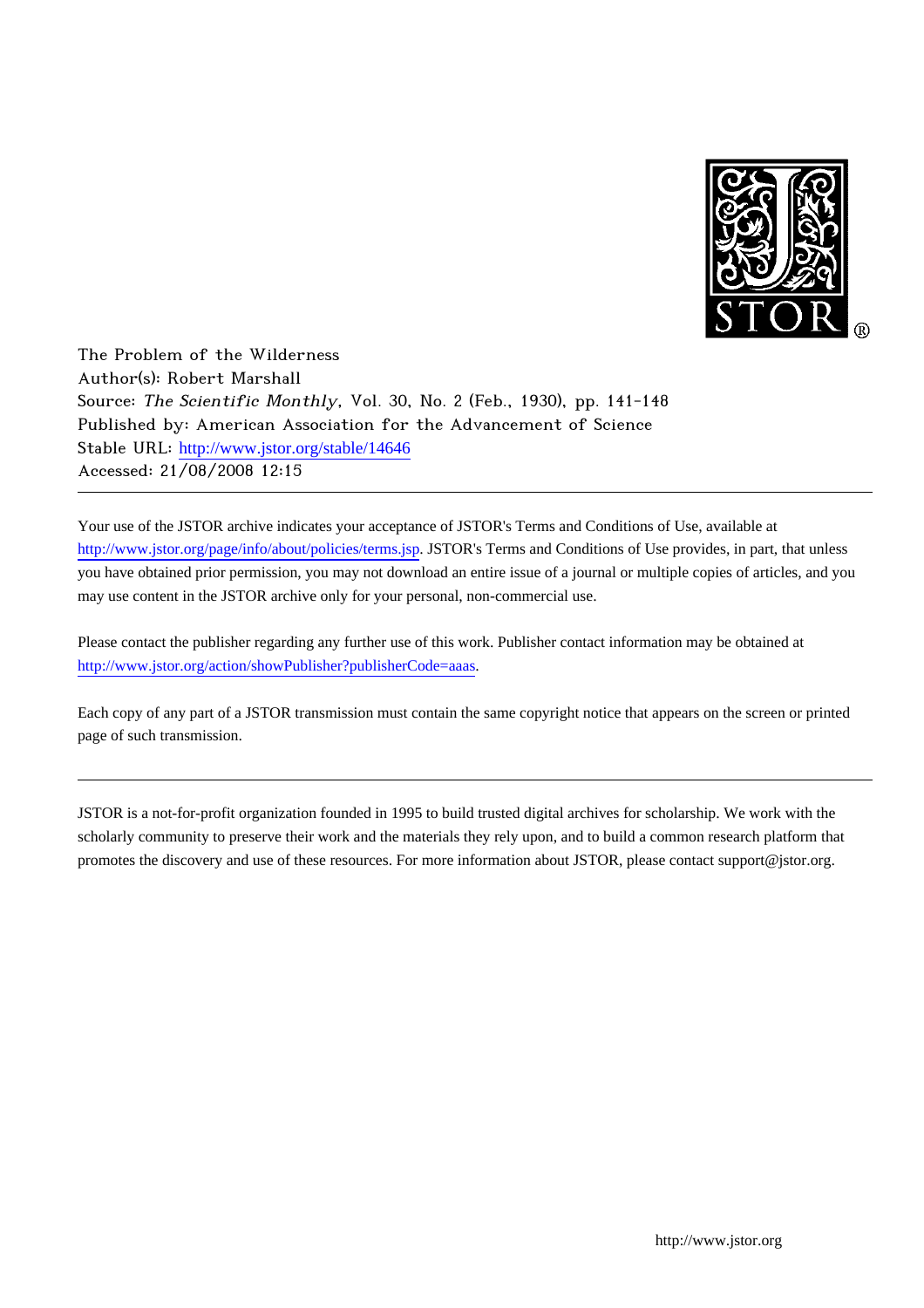

The Problem of the Wilderness Author(s): Robert Marshall Source: The Scientific Monthly, Vol. 30, No. 2 (Feb., 1930), pp. 141-148 Published by: American Association for the Advancement of Science Stable URL: [http://www.jstor.org/stable/14646](http://www.jstor.org/stable/14646?origin=JSTOR-pdf) Accessed: 21/08/2008 12:15

Your use of the JSTOR archive indicates your acceptance of JSTOR's Terms and Conditions of Use, available at <http://www.jstor.org/page/info/about/policies/terms.jsp>. JSTOR's Terms and Conditions of Use provides, in part, that unless you have obtained prior permission, you may not download an entire issue of a journal or multiple copies of articles, and you may use content in the JSTOR archive only for your personal, non-commercial use.

Please contact the publisher regarding any further use of this work. Publisher contact information may be obtained at <http://www.jstor.org/action/showPublisher?publisherCode=aaas>.

Each copy of any part of a JSTOR transmission must contain the same copyright notice that appears on the screen or printed page of such transmission.

JSTOR is a not-for-profit organization founded in 1995 to build trusted digital archives for scholarship. We work with the scholarly community to preserve their work and the materials they rely upon, and to build a common research platform that promotes the discovery and use of these resources. For more information about JSTOR, please contact support@jstor.org.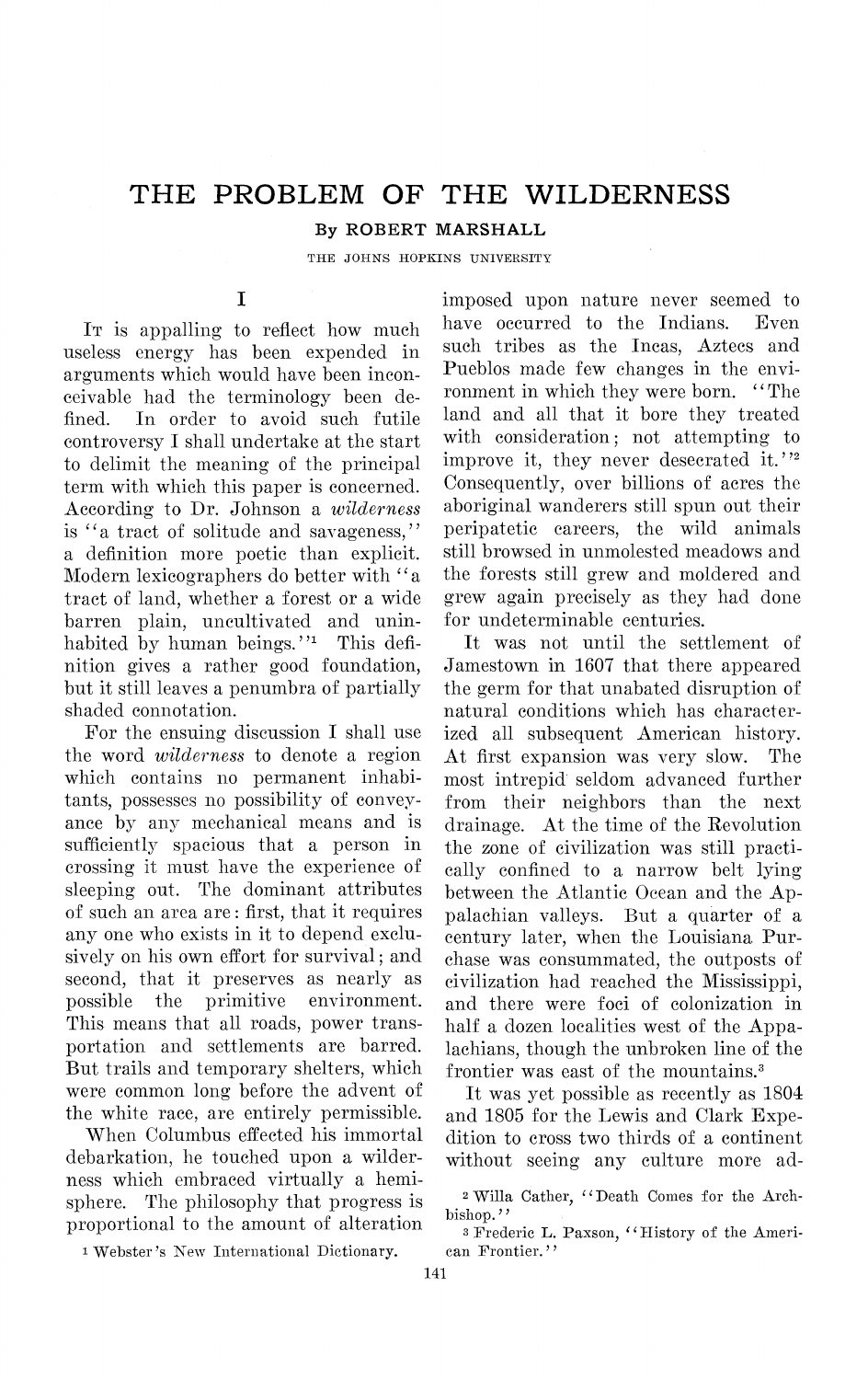# **THE PROBLEM OF THE WILDERNESS**

**By ROBERT MARSHALL** 

**THE JOHNS HOPKINS UNIVERSITY** 

**I** 

**IT is appalling to reflect how much useless energy has been expended in arguments which would have been inconceivable had the terminology been de-**In order to avoid such futile **controversy I shall undertake at the start to delimit the meaning of the principal term with which this paper is concerned. According to Dr. Johnson a wilderness is "a tract of solitude and savageness, " a definition more poetic than explicit. Modern lexicographers do better with "a tract of land, whether a forest or a wide barren plain, uncultivated and unin**habited by human beings."<sup>1</sup> This defi**nition gives a rather good foundation, but it still leaves a penumbra of partially shaded connotation.** 

**For the ensuing discussion I shall use the word wilderness to denote a region which contains no permanent inhabitants, possesses no possibility of conveyance by any mechanical means and is sufficiently spacious that a person in crossing it must have the experience of sleeping out. The dominant attributes of such an area are: first, that it requires any one who exists in it to depend exclusively on his own effort for survival; and second, that it preserves as nearly as possible** the **This means that all roads, power transportation and settlements are barred. But trails and temporary shelters, which were common long before the advent of the white race, are entirely permissible.** 

**When Columbus effected his immortal debarkation, he touched upon a wilderness which embraced virtually a hemisphere. The philosophy that progress is proportional to the amount of alteration** 

**1 Webster's New International Dictionary.** 

**imposed upon nature never seemed to**  have occurred to the Indians. **such tribes as the Incas, Aztecs and Pueblos made few changes in the environment in which they were born. " The land and all that it bore they treated with consideration; not attempting to improve it, they never desecrated it.'?2 Consequently, over billions of acres the aboriginal wanderers still spun out their peripatetic careers, the wild animals still browsed in unmolested meadows and the forests still grew and moldered and grew again precisely as they had done for undeterminable centuries.** 

**It was not until the settlement of Jamestown in 1607 that there appeared the germ for that unabated disruption of natural conditions which has characterized all subsequent American history. At first expansion was very slow. The most intrepid seldom advanced further from their neighbors than the next drainage. At the time of the Revolution the zone of civilization was still practically confined to a narrow belt lying between the Atlantic Ocean and the Appalachian valleys. But a quarter of a century later, when the Louisiana Purchase was consummated, the outposts of civilization had reached the Mississippi, and there were foci of colonization in half a dozen localities west of the Appalachians, though the unbroken line of the frontier was east of the mountains.3** 

**It was yet possible as recently as 1804 and 1805 for the Lewis and Clark Expedition to cross two thirds of a continent without seeing any culture more ad-**

**<sup>2</sup>Willa Cather, "Death Comes for the Archbishop. "** 

**<sup>3</sup> Frederic L. Paxson, " History of the American Frontier.''**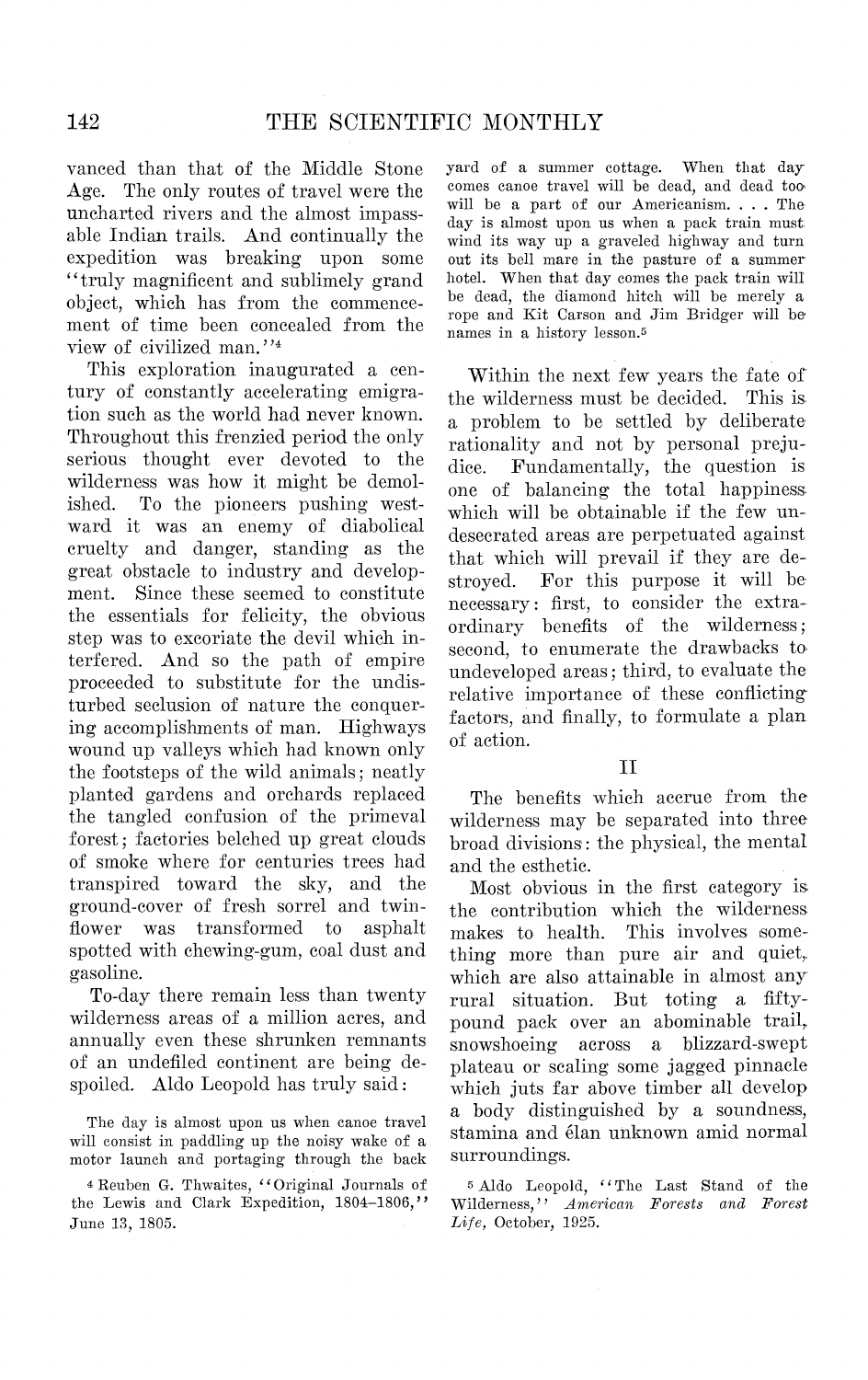**vanced than that of the Middle Stone Age. The only routes of travel were the uncharted rivers and the almost impassable Indian trails. And continually the expedition was breaking upon some "truly magnificent and sublimely grand object, which has from the commencement of time been concealed from the view of civilized man."4** 

**This exploration inaugurated a century of constantly accelerating emigration such as the world had never known. Throughout this frenzied period the only serious thought ever devoted to the wilderness was how it might be demol-**To the pioneers pushing west**ward it was an enemy of diabolical cruelty and danger, standing as the great obstacle to industry and develop-**Since these seemed to constitute **the essentials for felicity, the obvious step was to excoriate the devil which interfered. And so the path of empire proceeded to substitute for the undisturbed seclusion of nature the conquering accomplishments of man. Highways wound up valleys which had known only the footsteps of the wild animals; neatly planted gardens and orchards replaced the tangled confusion of the primeval forest; factories belched up great clouds of smoke where for centuries trees had transpired toward the sky, and the ground-cover of fresh sorrel and twintransformed** to **spotted with chewing-gum, coal dust and gasoline.** 

**To-day there remain less than twenty wilderness areas of a million acres, and annually even these shrunken remnants of an undefiled continent are being despoiled. Aldo Leopold has truly said:** 

**The day is almost upon us when canoe travel will consist in paddling up the noisy wake of a motor launch and portaging through the back** 

**4 Reuben G. Thwaites, "Original Journals of the Lewis and Clark Expedition, 1804-1806," June 13, 1805.** 

**yard of a summer cottage. When that day comes canoe travel will be dead, and dead too**  will be a part of our Americanism. . . . The **day is almost upon us when a pack train must: wind its way up a graveled highway and turn out its bell mare in the pasture of a summer hotel. When that day comes the pack train will be dead, the diamond hitch will be merely a rope and Kit Carson and Jim Bridger will be names in a history lesson.5** 

**Within the next few years the fate of the wilderness must be decided. This is, a problem to be settled by deliberate rationality and not by personal prejudice. Fundamentally, the question is one of balancing the total happiness. which will be obtainable if the few undesecrated areas are perpetuated against that which will prevail if they are de-**For this purpose it will be **necessary: first, to consider the extraordinary benefits of the wilderness; second, to enumerate the drawbacks to undeveloped areas; third, to evaluate the relative importance of these conflicting factors, and finally, to formulate a plan of action.** 

**II** 

**The benefits which accrue from the wilderness may be separated into three broad divisions: the physical, the mental and the esthetic.** 

**Most obvious in the first category is the contribution which the wilderness makes to health. This involves something more than pure air and quiet,. which are also attainable in almost any rural situation. But toting a fiftypound pack over an abominable trail,**  snowshoeing across a **plateau or scaling some jagged pinnacle which juts far above timber all develop a body distinguished by a soundness, stamina and elan unknown amid normal surroundings.** 

**<sup>5</sup>Aldo Leopold, "The Last Stand of the**  Wilderness," American Forests and Forest **Life, October, 1925.**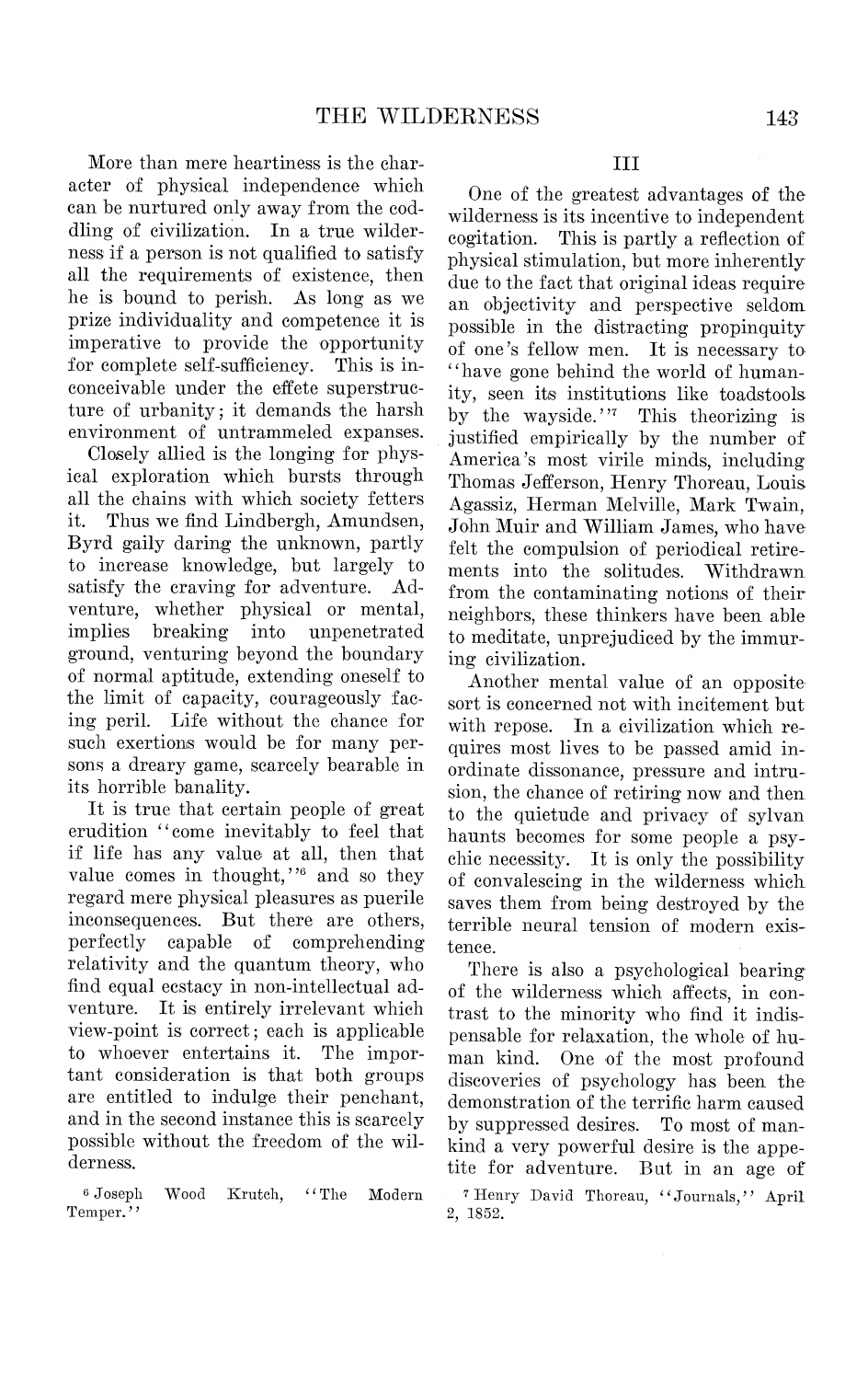**More than mere heartiness is the character of physical independence which can be nurtured only away from the coddling of civilization. In a true wilderness if a person is not qualified to satisfy all the requirements of existence, then he is bound to perish. As long as we prize individuality and competence it is imperative to provide the opportunity for complete self-sufficiency. This is inconceivable under the effete superstructure of urbanity; it demands the harsh environment of untrammeled expanses.** 

**Closely allied is the longing for physical exploration which bursts through all the chains with which society fetters**  Thus we find Lindbergh, Amundsen, **Byrd gaily daring the unknown, partly to increase knowledge, but largely to**  satisfy the craving for adventure. **venture, whether physical or mental, breaking** into **ground, venturing beyond the boundary of normal aptitude, extending oneself to the limit of capacity, courageously facing peril. Life without the chance for such exertions would be for many persons a dreary game, scarcely bearable in its horrible banality.** 

**It is true that certain people of great erudition "come inevitably to feel that if life has any value at all, then that value comes in thought,"6 and so they regard mere physical pleasures as puerile inconsequences. But there are others, perfectly capable of comprehending relativity and the quantum theory, who find equal ecstacy in non-intellectual adventure. It is entirely irrelevant which view-point is correct; each is applicable**  to whoever entertains it. **tant consideration is that both groups are entitled to indulge their penchant, and in the second instance this is scarcely possible without the freedom of the wilderness.** 

**<sup>6</sup>Joseph Wood Krutch, '' The Modern**  Temper."

## **III**

**One of the greatest advantages of the wilderness is its incentive to independent cogitation. This is partly a reflection of physical stimulation, but more inherently due to the fact that original ideas require an objectivity and perspective seldom possible in the distracting propinquity of one's fellow men. It is necessary to "have gone behind the world of humanity, seen its' institutions like toadstools by the wayside."7 This theorizing is justified empirically by the number of America's most virile minds, including Thomas Jefferson, Henry Thoreau, Louis Agassiz, Herman Melville, Mark Twain, John Muir and William James, who have felt the compulsion of periodical retirements into the solitudes. Withdrawn from the contaminating notions of their neighbors, these thinkers have been able to meditate, unprejudiced by the immuring civilization.** 

**Another mental value of an opposite sort is concerned not with incitement but with repose. In a civilization which requires most lives to be passed amid inordinate dissonance, pressure and intrusion, the chance of retiring now and then to the quietude and privacy of sylvan**  haunts becomes for some people a psychic necessity. It is only the possibility **chic necessity. It is only the possibility of convalescing in the wilderness which saves them from being destroyed by the terrible neural tension of modern existenee.** 

**There is also a psychological bearing of the wilderness which affects, in contrast to the minority who find it indispensable for relaxation, the whole of hu-**One of the most profound **discoveries of psychology has been the demonstration of the terrific harm caused by suppressed desires. To most of mankind a very powerful desire is the appetite for adventure. But in an age of** 

**<sup>7</sup>Henry David Thoreau, "Journals," April 2, 1852.**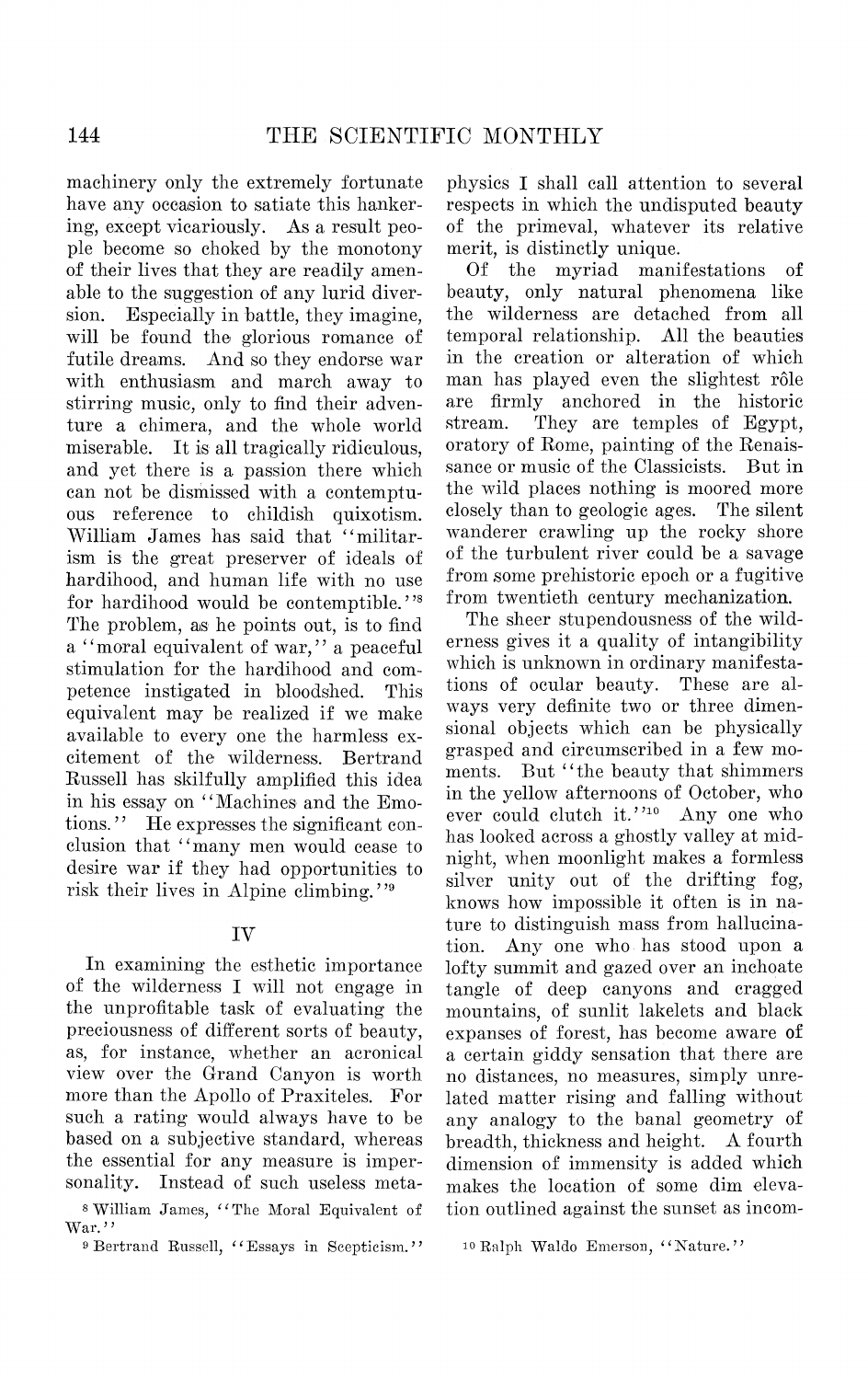**machinery only the extremely fortunate have any occasion to satiate this hankering, except vicariously. As a result people become so choked by the monotony of their lives that they are readily amenable to the suggestion of any lurid diversion. Especially in battle, they imagine,**  will be found the glorious romance of futile dreams. And so they endorse war And so they endorse war **with enthusiasm and march away to stirring music, only to find their adventure a chimera, and the whole world miserable. It is all tragically ridiculous, and yet there is a passion there which can not be dismissed with a contemptuous reference to childish quixotism. William James has said that "militarism is the great preserver of ideals of hardihood, and human life with no use for hardihood would be contemptible."8**  The problem, as he points out, is to find **a "moral equivalent of war," a peaceful stimulation for the hardihood and competence instigated in bloodshed. This equivalent may be realized if we make available to every one the harmless excitement of the wilderness. Bertrand Russell has skilfully amplified this idea in his essay on "Machines and the Emotions. " He expresses the significant conclusion that "many men would cease to desire war if they had opportunities to risk their lives in Alpine climbing. "9** 

# **IV**

**In examining the esthetic importance of the wilderness I will not engage in the unprofitable task of evaluating the preciousness of different sorts of beauty, as, for instance, whether an acronical view over the Grand Canyon is worth more than the Apollo of Praxiteles. For such a rating would always have to be based on a subjective standard, whereas the essential for any measure is impersonality. Instead of such useless meta-8 William James, "The Moral Equivalent of War. '** 

**9 Bertrand Russell, "Essays in Scepticism."** 

**physics I shall call attention to several respects in which the undisputed beauty of the primeval, whatever its relative merit, is distinctly unique.** 

myriad manifestations of **beauty, only natural phenomena like the wilderness are detached from all temporal relationship. All the beauties in the creation or alteration of which**  man has played even the slightest rôle **are firmly anchored in the historic**  They are temples of Egypt, **oratory of Rome, painting of the Renais**sance or music of the Classicists. **the wild places nothing is moored more**  closely than to geologic ages. **wanderer crawling up the rocky shore of the turbulent river could be a savage from some prehistoric epoch or a fugitive from twentieth century mechanization.** 

**The sheer stupendousness of the wilderness gives it a quality of intangibility which is unknown in ordinary manifestations of ocular beauty. These are always very definite two or three dimensional objects which can be physically grasped and circumscribed in a few moments. But "the beauty that shimmers in the yellow afternoons of October, who**  ever could clutch it."<sup>10</sup> Any one who **has looked across a ghostly valley at midnight, when moonlight makes a formless silver unity out of the drifting fog, knows how impossible it often is in nature to distinguish mass from hallucination. Any one who has stood upon a lofty summit and gazed over an inchoate tangle of deep canyons and cragged mountains, of sunlit lakelets and black expanses of forest, has become aware of a certain giddy sensation that there are no distances, no measures, simply unrelated matter rising and falling without any analogy to the banal geometry of breadth, thickness and height. A fourth dimension of immensity is added which makes the location of some dim elevation outlined against the sunset as incom-**

<sup>&</sup>lt;sup>10</sup> Ralph Waldo Emerson, "Nature."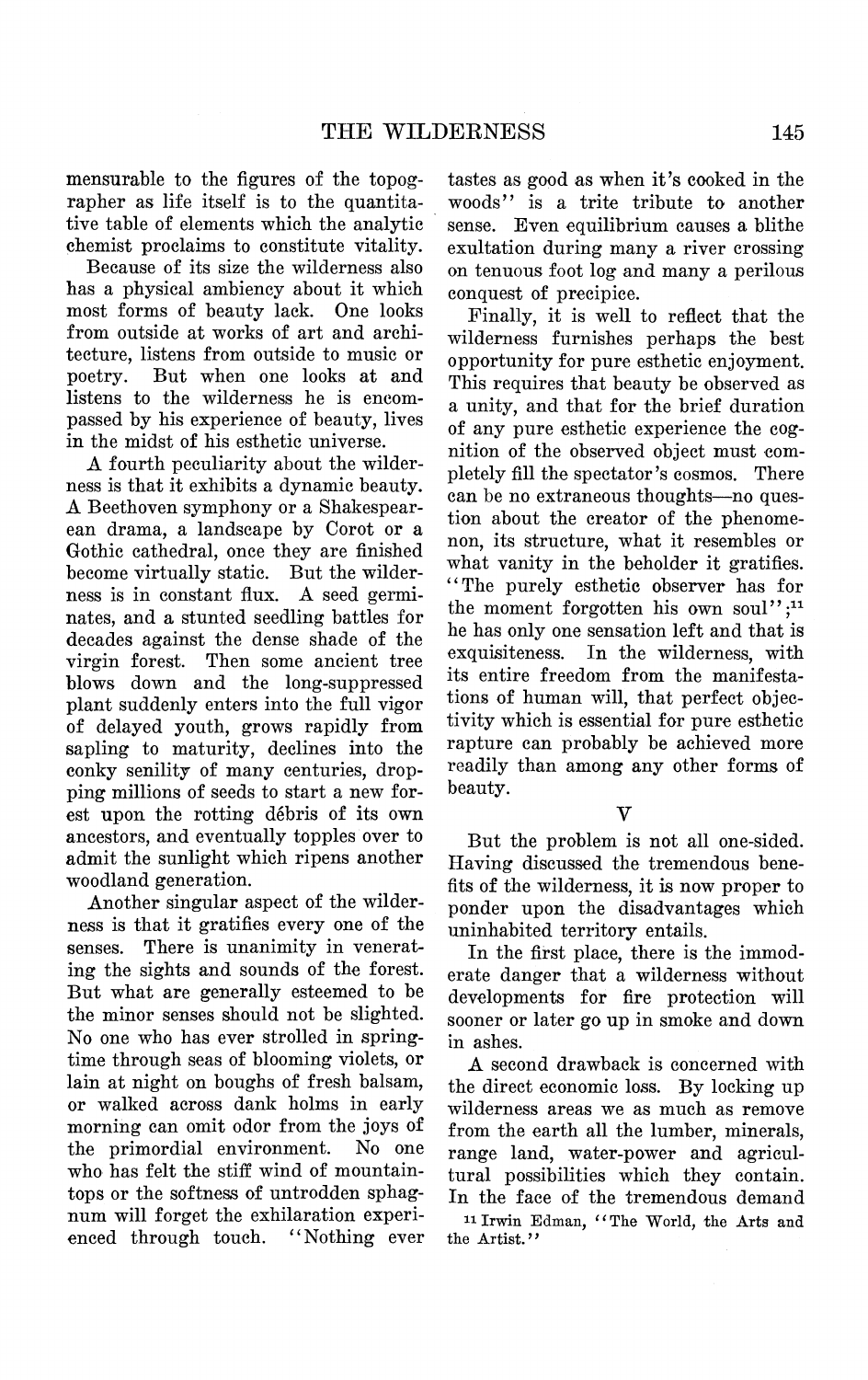**mensurable to the figures of the topographer as life itself is to the quantitative table of elements which the analytic chemist proclaims to constitute vitality.** 

**Because of its size the wilderness also has a physical ambiency about it which**  most forms of beauty lack. **from outside at works of art and architecture, listens from outside to music or**  But when one looks at and **listens to the wilderness he is encompassed by his experience of beauty, lives in the midst of his esthetic universe.** 

**A fourth peculiarity about the wilderness is that it exhibits a dynamic beauty. A Beethoven symphony or a Shakespearean drama, a landscape by Corot or a Gothic cathedral, once they are finished become virtually static. But the wilderness is in constant flux. A seed germinates, and a stunted seedling battles for decades against the dense shade of the virgin forest. Then some ancient tree blows down and the long-suppressed plant suddenly enters into the full vigor of delayed youth, grows rapidly from sapling to maturity, declines into the conky senility of many centuries, dropping millions of seeds to start a new forest upon the rotting debris of its own ancestors, and eventually topples over to admit the sunlight which ripens another woodland generation.** 

**Another singular aspect of the wilderness is that it gratifies every one of the**  There is unanimity in venerat**ing the sights and sounds of the forest. But what are generally esteemed to be the minor senses should not be slighted. No one who has ever strolled in springtime through seas of blooming violets, or lain at night on boughs of fresh balsam, or walked across dank holms in early morning can omit odor from the joys of**  the primordial environment. **who has felt the stiff wind of mountaintops or the softness of untrodden sphagnum will forget the exhilaration experi**enced through touch.

**tastes as good as when it's cooked in the woods" is a trite tribute to another sense. Even equilibrium causes a blithe exultation during many a river crossing on tenuous foot log and many a perilous conquest of precipice.** 

**Finally, it is well to reflect that the wilderness furnishes perhaps the best opportunity for pure esthetic enjoyment. This requires that beauty be observed as a unity, and that for the brief duration of any pure esthetic experience the cognition of the observed object must completely fill the spectator's cosmos. There can be no extraneous thoughts-no question about the creator of the phenomenon, its structure, what it resembles or what vanity in the beholder it gratifies. "The purely esthetic observer has for**  the moment forgotten his own soul";<sup>11</sup> **he has only one sensation left and that is**  In the wilderness, with **its entire freedom from the manifestations of human will, that perfect objectivity which is essential for pure esthetic rapture can probably be achieved more readily than among any other forms of beauty.** 

**V** 

**But the problem is not all one-sided. Having discussed the tremendous benefits of the wilderness, it is now proper to ponder upon the disadvantages which uninhabited territory entails.** 

**In the first place, there is the immoderate danger that a wilderness without developments for fire protection will sooner or later go up in smoke and down in ashes.** 

**A second drawback is concerned with the direct economic loss. By locking up wilderness areas we as much as remove from the earth all the lumber, minerals, range land, water-power and agricultural possibilities which they contain. In the face of the tremendous demand** 

<sup>11</sup> Irwin Edman, "The World, the Arts and **the Artist."**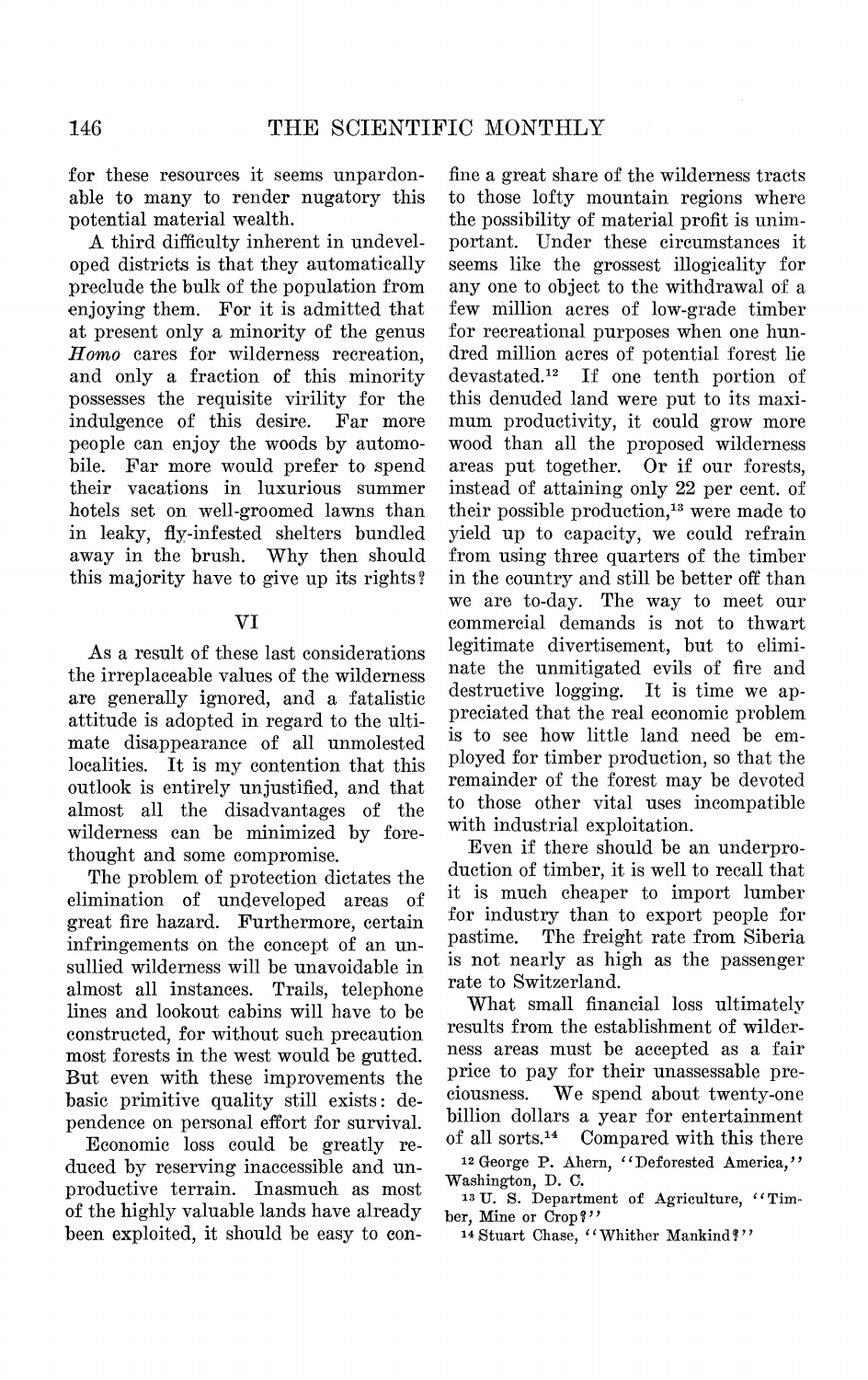**for these resources it seems unpardonable to many to render nugatory this potential material wealth.** 

**A third difficulty inherent in undeveloped districts is that they automatically preclude the bulk of the population from enjoying them. For it is admitted that at present only a minority of the genus**  Homo cares for wilderness recreation. **and only a fraction of this minority possesses the requisite virility for the**  indulgence of this desire. **people can enjoy the woods by automo-**Far more would prefer to spend **their vacations in luxurious summer hotels set on well-groomed lawns than in leaky, fly-infested shelters bundled away in the brush. Why then should this majority have to give up its rights?** 

#### **VI**

**As a result of these last considerations the irreplaceable values of the wilderness are generally ignored, and a fatalistic attitude is adopted in regard to the ultimate disappearance of all unmolested localities. It is my contention that this outlook is entirely unjustified, and that almost all the disadvantages of the wilderness can be minimized by forethought and some compromise.** 

**The problem of protection dictates the elimination of undeveloped areas of great fire hazard. Furthermore, certain infringements on the concept of an unsullied wilderness will be unavoidable in almost all instances. Trails, telephone lines and lookout cabins will have to be constructed, for without such precaution most forests in the west would be gutted. But even with these improvements the basic primitive quality still exists: dependence on personal effort for survival.** 

**Economic loss could be greatly reduced by reserving inaccessible and unproductive terrain. Inasmuch as most of the highly valuable lands have already been exploited, it should be easy to con-**

**fine a great share of the wilderness tracts to those lofty mountain regions where the possibility of material profit is unimportant. Under these circumstances it seems like the grossest illogicality for any one to object to the withdrawal of a few million acres of low-grade timber for recreational purposes when one hundred million acres of potential forest lie devastated.12 If one tenth portion of this denuded land were put to its maximum productivity, it could grow more wood than all the proposed wilderness areas put together. Or if our forests, instead of attaining only 22 per cent. of their possible production,13 were made to yield up to capacity, we could refrain from using three quarters of the timber in the country and still be better off than we are to-day. The way to meet our commercial demands is not to thwart legitimate divertisement, but to eliminate the unmitigated evils of fire and**  destructive logging. **preciated that the real economic problem is to see how little land need be employed for timber production, so that the remainder of the forest may be devoted to those other vital uses incompatible with industrial exploitation.** 

**Even if there should be an underproduction of timber, it is well to recall that it is much cheaper to import lumber for industry than to export people for pastime. The freight rate from Siberia is not nearly as high as the passenger rate to Switzerland.** 

**What small financial loss ultimately results from the establishment of wilderness areas must be accepted as a fair price to pay for their unassessable pre-**We spend about twenty-one **billion dollars a year for entertainment of all sorts.l4 Compared with this there 12 George P. Ahern, "Deforested America,"** 

**Washington, D. C. 13 U. S. Department of Agriculture, "Tim**ber, Mine or Crop?"

**14 Stuart Chase, "Whither Mankind?'**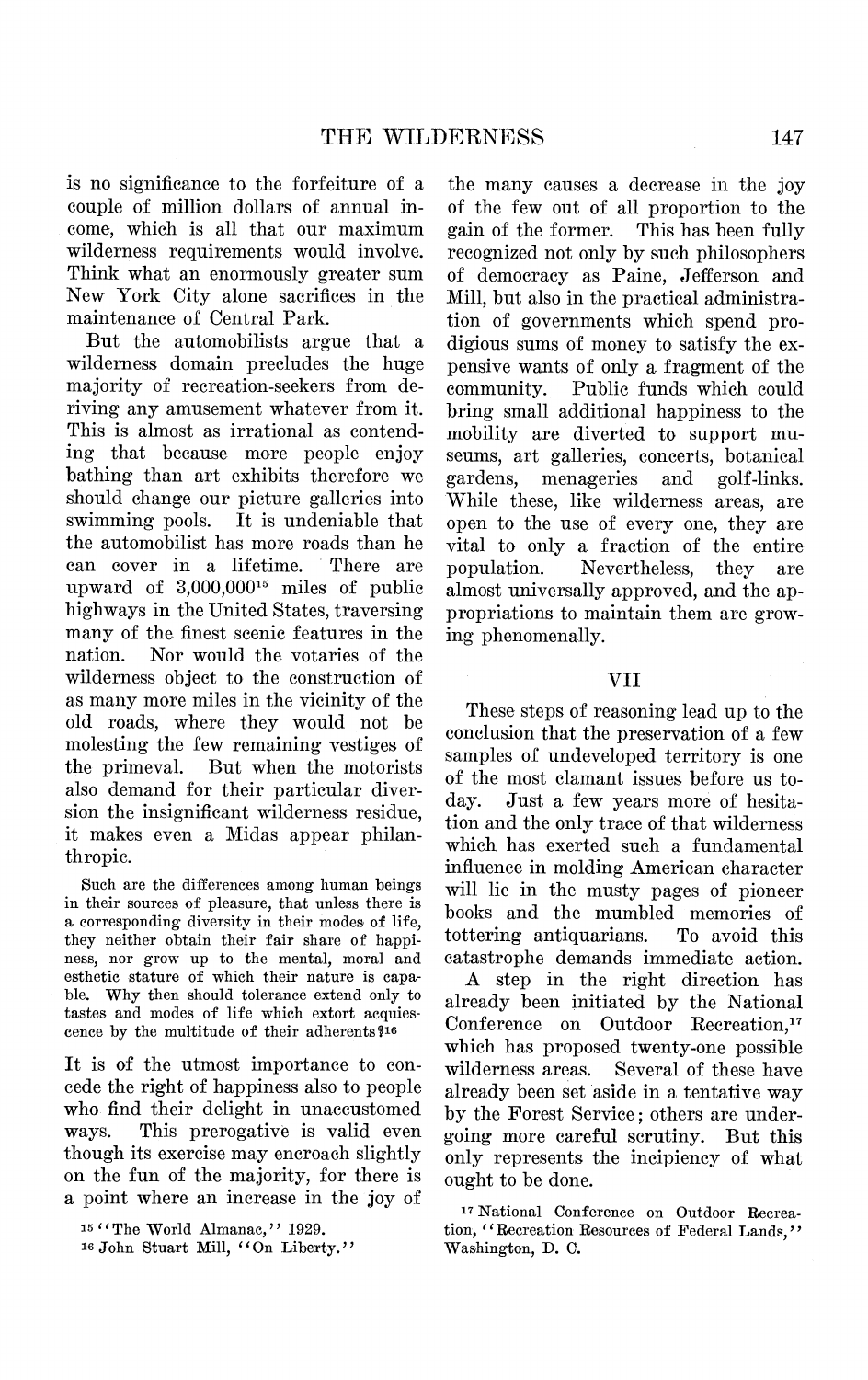**is no significance to the forfeiture of a couple of million dollars of annual income, which is all that our maximum wilderness requirements would involve. Think what an enormously greater sum New York City alone sacrifices in the maintenance of Central Park.** 

**But the automobilists argue that a wilderness domain precludes the huge majority of recreation-seekers from deriving any amusement whatever from it. This is almost as irrational as contending that because more people enjoy bathing than art exhibits therefore we should change our picture galleries into**  It is undeniable that **the automobilist has more roads than he**  can cover in a lifetime. **upward of 3,000,00015 miles of public highways in the United States, traversing many of the finest scenic features in the**  Nor would the votaries of the **wilderness object to the construction of as many more miles in the vicinity of the old roads, where they would not be molesting the few remaining vestiges of**  But when the motorists **also demand for their particular diversion the insignificant wilderness residue, it makes even a Midas appear philanthropic.** 

**Such are the differences among human beings in their sources of pleasure, that unless there is a corresponding diversity in their modes of life, they neither obtain their fair share of happiness, nor grow up to the mental, moral and esthetic stature of which their nature is capable. Why then should tolerance extend only to tastes and modes of life which extort acquiescence by the multitude of their adherents 16** 

**It is of the utmost importance to concede the right of happiness also to people who find their delight in unaccustomed**  This prerogative is valid even **though its exercise may encroach slightly on the fun of the majority, for there is a point where an increase in the joy of**  **the many causes a decrease in the joy of the few out of all proportion to the**  This has been fully **recognized not only by such philosophers of democracy as Paine, Jefferson and Mill, but also in the practical administration of governments which spend prodigious sums of money to satisfy the expensive wants of only a fragment of the**  Public funds which could **bring small additional happiness to the mobility are diverted to support museums, art galleries, concerts, botanical**  menageries **While these, like wilderness areas, are open to the use of every one, they are vital to only a fraction of the entire**  Nevertheless. **almost universally approved, and the appropriations to maintain them are growing phenomenally.** 

## **VII**

**These steps of reasoning lead up to the conclusion that the preservation of a few samples of undeveloped territory is one of the most clamant issues before us today. Just a few years more of hesitation and the only trace of that wilderness which has exerted such a fundamental influence in molding American character will lie in the musty pages of pioneer books and the mumbled memories of tottering antiquarians. To avoid this catastrophe demands immediate action.** 

**A step in the right direction has already been initiated by the National**  Conference on Outdoor Recreation,<sup>17</sup> **which has proposed twenty-one possible**  Several of these have **already been set aside in a tentative way by the Forest Service; others are undergoing more careful scrutiny. But this only represents the incipiency of what ought to be done.** 

**<sup>15</sup>"The World Almanac," 1929.** 

**<sup>16</sup>John Stuart Mill, "On Liberty."** 

**<sup>17</sup> National Conference on Outdoor Recreation, "Recreation Resources of Federal Lands," Washington, D. C.**